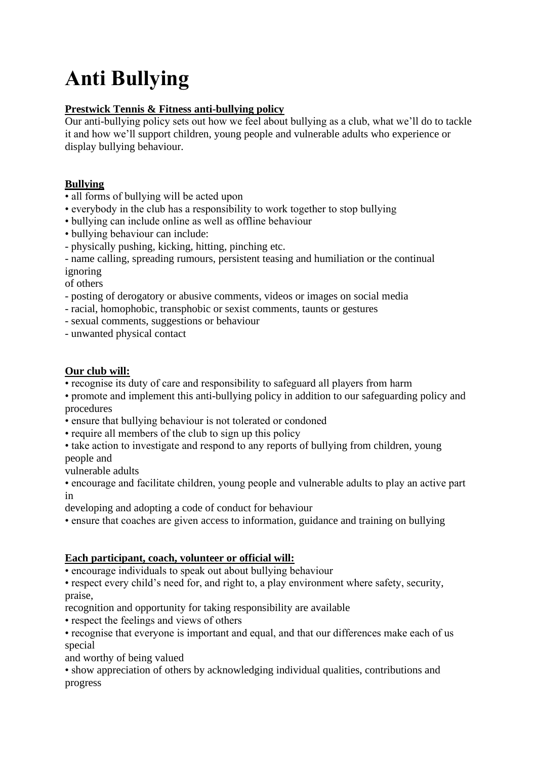# **Anti Bullying**

# **Prestwick Tennis & Fitness anti-bullying policy**

Our anti-bullying policy sets out how we feel about bullying as a club, what we'll do to tackle it and how we'll support children, young people and vulnerable adults who experience or display bullying behaviour.

# **Bullying**

- all forms of bullying will be acted upon
- everybody in the club has a responsibility to work together to stop bullying
- bullying can include online as well as offline behaviour
- bullying behaviour can include:
- physically pushing, kicking, hitting, pinching etc.

- name calling, spreading rumours, persistent teasing and humiliation or the continual ignoring

of others

- posting of derogatory or abusive comments, videos or images on social media
- racial, homophobic, transphobic or sexist comments, taunts or gestures
- sexual comments, suggestions or behaviour
- unwanted physical contact

### **Our club will:**

• recognise its duty of care and responsibility to safeguard all players from harm

• promote and implement this anti-bullying policy in addition to our safeguarding policy and procedures

- ensure that bullying behaviour is not tolerated or condoned
- require all members of the club to sign up this policy
- take action to investigate and respond to any reports of bullying from children, young people and
- vulnerable adults

• encourage and facilitate children, young people and vulnerable adults to play an active part in

developing and adopting a code of conduct for behaviour

• ensure that coaches are given access to information, guidance and training on bullying

### **Each participant, coach, volunteer or official will:**

• encourage individuals to speak out about bullying behaviour

• respect every child's need for, and right to, a play environment where safety, security, praise,

recognition and opportunity for taking responsibility are available

• respect the feelings and views of others

• recognise that everyone is important and equal, and that our differences make each of us special

and worthy of being valued

• show appreciation of others by acknowledging individual qualities, contributions and progress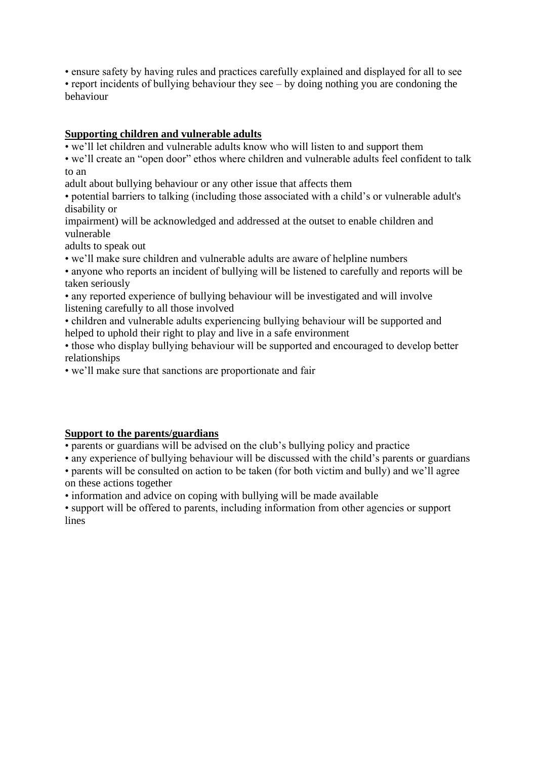• ensure safety by having rules and practices carefully explained and displayed for all to see • report incidents of bullying behaviour they see – by doing nothing you are condoning the behaviour

#### **Supporting children and vulnerable adults**

• we'll let children and vulnerable adults know who will listen to and support them

• we'll create an "open door" ethos where children and vulnerable adults feel confident to talk to an

adult about bullying behaviour or any other issue that affects them

• potential barriers to talking (including those associated with a child's or vulnerable adult's disability or

impairment) will be acknowledged and addressed at the outset to enable children and vulnerable

adults to speak out

• we'll make sure children and vulnerable adults are aware of helpline numbers

• anyone who reports an incident of bullying will be listened to carefully and reports will be taken seriously

• any reported experience of bullying behaviour will be investigated and will involve listening carefully to all those involved

• children and vulnerable adults experiencing bullying behaviour will be supported and helped to uphold their right to play and live in a safe environment

• those who display bullying behaviour will be supported and encouraged to develop better relationships

• we'll make sure that sanctions are proportionate and fair

### **Support to the parents/guardians**

• parents or guardians will be advised on the club's bullying policy and practice

• any experience of bullying behaviour will be discussed with the child's parents or guardians

• parents will be consulted on action to be taken (for both victim and bully) and we'll agree on these actions together

• information and advice on coping with bullying will be made available

• support will be offered to parents, including information from other agencies or support lines